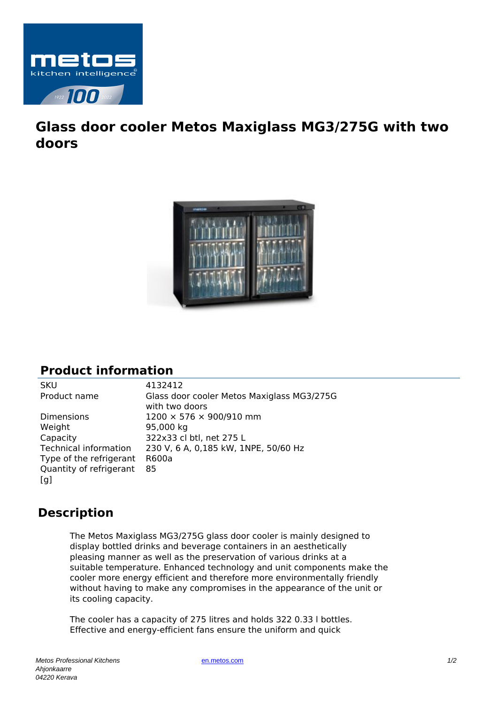

## **Glass door cooler Metos Maxiglass MG3/275G with two doors**



## **Product information**

Weight 95,000 kg Capacity 322x33 cl btl, net 275 L Type of the refrigerant R600a Quantity of refrigerant [g]

SKU 4132412 Product name Glass door cooler Metos Maxiglass MG3/275G with two doors Dimensions 1200 × 576 × 900/910 mm Technical information 230 V, 6 A, 0,185 kW, 1NPE, 50/60 Hz 85

## **Description**

The Metos Maxiglass MG3/275G glass door cooler is mainly designed to display bottled drinks and beverage containers in an aesthetically pleasing manner as well as the preservation of various drinks at a suitable temperature. Enhanced technology and unit components make the cooler more energy efficient and therefore more environmentally friendly without having to make any compromises in the appearance of the unit or its cooling capacity.

The cooler has a capacity of 275 litres and holds 322 0.33 l bottles. Effective and energy-efficient fans ensure the uniform and quick